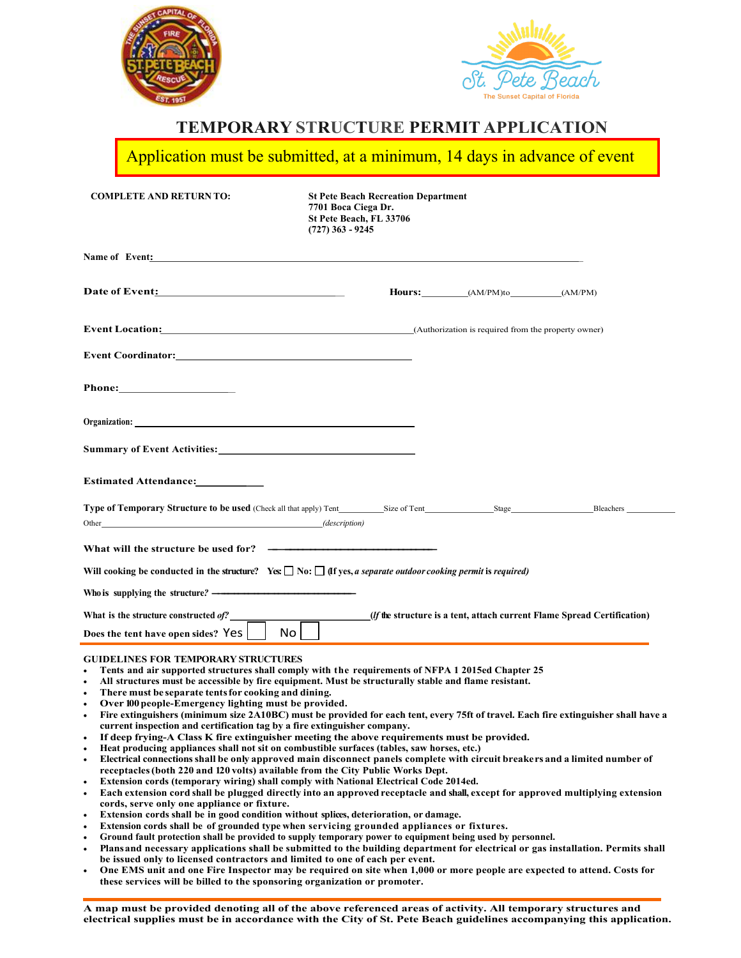



## **TEMPORARY STRUCTURE PERMIT APPLICATION**

Application must be submitted, at a minimum, 14 days in advance of event

| <b>COMPLETE AND RETURN TO:</b>                                                                                                                                                                                                                                                                                                                                                                                                                                                                                                                          | <b>St Pete Beach Recreation Department</b><br>7701 Boca Ciega Dr.<br>St Pete Beach, FL 33706<br>$(727)$ 363 - 9245 |  |                          |                                                                                 |
|---------------------------------------------------------------------------------------------------------------------------------------------------------------------------------------------------------------------------------------------------------------------------------------------------------------------------------------------------------------------------------------------------------------------------------------------------------------------------------------------------------------------------------------------------------|--------------------------------------------------------------------------------------------------------------------|--|--------------------------|---------------------------------------------------------------------------------|
| Name of Event: the contract of the contract of the contract of the contract of the contract of the contract of the contract of the contract of the contract of the contract of the contract of the contract of the contract of                                                                                                                                                                                                                                                                                                                          |                                                                                                                    |  |                          |                                                                                 |
| Date of Event:                                                                                                                                                                                                                                                                                                                                                                                                                                                                                                                                          |                                                                                                                    |  | Hours: (AM/PM)to (AM/PM) |                                                                                 |
| <b>Event Location:</b> (Authorization is required from the property owner)                                                                                                                                                                                                                                                                                                                                                                                                                                                                              |                                                                                                                    |  |                          |                                                                                 |
| <b>Event Coordinator:</b> The coordination of the coordinate of the coordinate of the coordinate of the coordinate of the coordinate of the coordinate of the coordinate of the coordinate of the coordinate of the coordinate of t                                                                                                                                                                                                                                                                                                                     |                                                                                                                    |  |                          |                                                                                 |
|                                                                                                                                                                                                                                                                                                                                                                                                                                                                                                                                                         |                                                                                                                    |  |                          |                                                                                 |
| Organization: <u>contract the contract of the contract of the contract of the contract of the contract of the contract of the contract of the contract of the contract of the contract of the contract of the contract of the co</u>                                                                                                                                                                                                                                                                                                                    |                                                                                                                    |  |                          |                                                                                 |
|                                                                                                                                                                                                                                                                                                                                                                                                                                                                                                                                                         |                                                                                                                    |  |                          |                                                                                 |
|                                                                                                                                                                                                                                                                                                                                                                                                                                                                                                                                                         |                                                                                                                    |  |                          |                                                                                 |
| Type of Temporary Structure to be used (Check all that apply) Tent Size of Tent Stage Stage Bleachers<br>Other (description)                                                                                                                                                                                                                                                                                                                                                                                                                            |                                                                                                                    |  |                          |                                                                                 |
| What will the structure be used for? ————————————————————                                                                                                                                                                                                                                                                                                                                                                                                                                                                                               |                                                                                                                    |  |                          |                                                                                 |
| Will cooking be conducted in the structure? Yes: $\Box$ No: $\Box$ (If yes, a separate outdoor cooking permit is required)                                                                                                                                                                                                                                                                                                                                                                                                                              |                                                                                                                    |  |                          |                                                                                 |
|                                                                                                                                                                                                                                                                                                                                                                                                                                                                                                                                                         |                                                                                                                    |  |                          |                                                                                 |
| What is the structure constructed of?_____<br>Does the tent have open sides? Yes                                                                                                                                                                                                                                                                                                                                                                                                                                                                        | No l                                                                                                               |  |                          | ( <i>If</i> the structure is a tent, attach current Flame Spread Certification) |
| <b>GUIDELINES FOR TEMPORARY STRUCTURES</b><br>• Tents and air supported structures shall comply with the requirements of NFPA 1 2015ed Chapter 25<br>All structures must be accessible by fire equipment. Must be structurally stable and flame resistant.<br>$\bullet$<br>$\bullet$<br>There must be separate tents for cooking and dining.<br>Over 100 people-Emergency lighting must be provided.<br>$\bullet$<br>. Fire extinguishers (minimum size 2A10RC) must be provided for each tent every 75ft of travel Fach fire extinguisher shall have a |                                                                                                                    |  |                          |                                                                                 |

- **Fire extinguishers (minimum size 2A10BC) must be provided for each tent, every 75ft of travel. Each fire extinguisher shall have a current inspection and certification tag by a fire extinguisher company.**
- **If deep frying-A Class K fire extinguisher meeting the above requirements must be provided.**
- **Heat producing appliances shall not sit on combustible surfaces (tables, saw horses, etc.)**
- **Electrical connectionsshall be only approved main disconnect panels complete with circuit breakers and a limited number of receptacles(both 220 and 120 volts) available from the City Public Works Dept.**
- **Extension cords (temporary wiring) shall comply with National Electrical Code 2014ed.**
- **Each extension cord shall be plugged directly into an approved receptacle and shall, except for approved multiplying extension cords, serve only one appliance or fixture.**
- **Extension cords shall be in good condition without splices, deterioration, or damage.**
- **Extension cords shall be of grounded type when servicing grounded appliances or fixtures.**
- **Ground fault protection shall be provided to supply temporary power to equipment being used by personnel.**
- **Plansand necessary applications shall be submitted to the building department for electrical or gas installation. Permits shall be issued only to licensed contractors and limited to one of each per event.**
- **One EMS unit and one Fire Inspector may be required on site when 1,000 or more people are expected to attend. Costs for these services will be billed to the sponsoring organization or promoter.**

**A map must be provided denoting all of the above referenced areas of activity. All temporary structures and electrical supplies must be in accordance with the City of St. Pete Beach guidelines accompanying this application.**